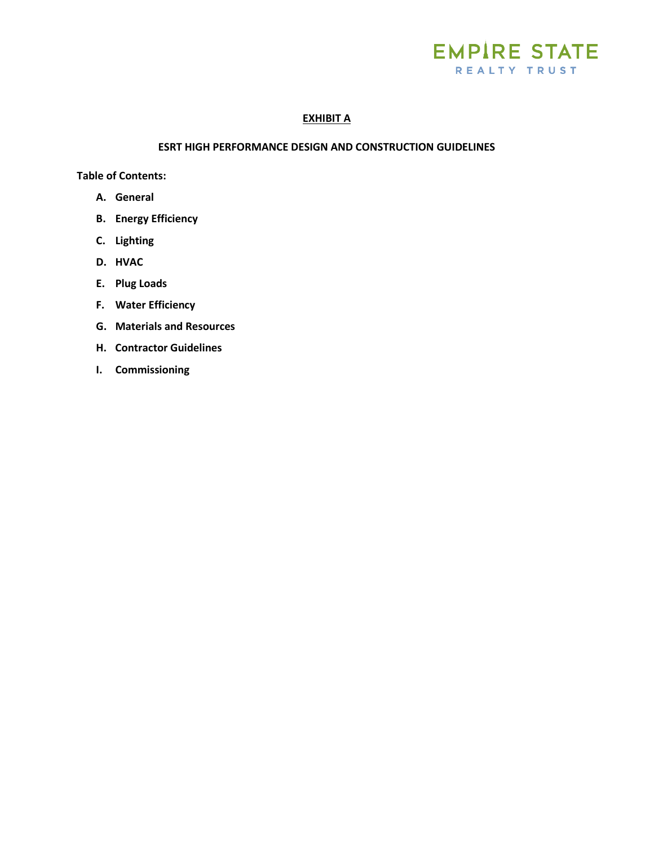

# **EXHIBIT A**

#### **ESRT HIGH PERFORMANCE DESIGN AND CONSTRUCTION GUIDELINES**

**Table of Contents:**

- **A. General**
- **B. Energy Efficiency**
- **C. Lighting**
- **D. HVAC**
- **E. Plug Loads**
- **F. Water Efficiency**
- **G. Materials and Resources**
- **H. Contractor Guidelines**
- **I. Commissioning**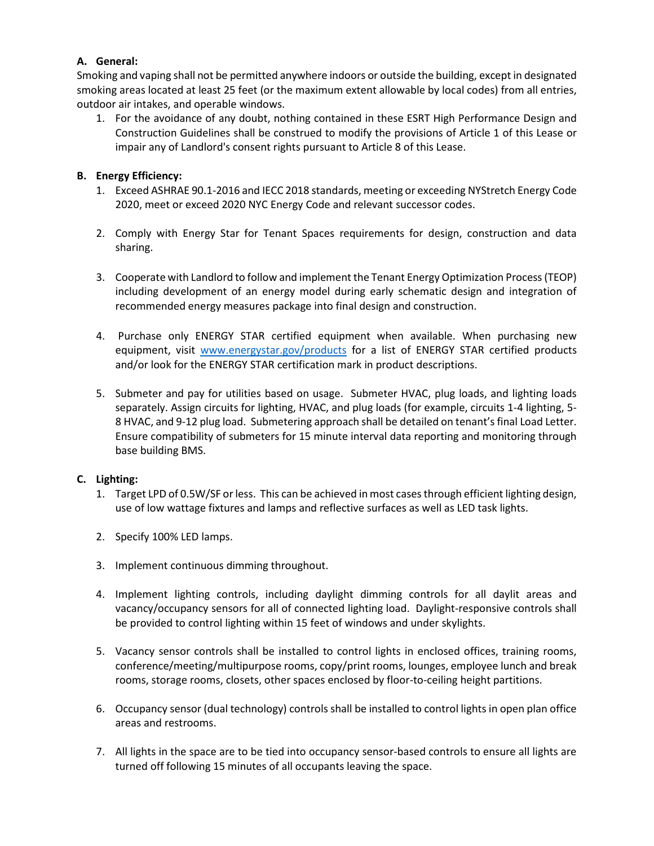# **A. General:**

Smoking and vaping shall not be permitted anywhere indoors or outside the building, except in designated smoking areas located at least 25 feet (or the maximum extent allowable by local codes) from all entries, outdoor air intakes, and operable windows.

1. For the avoidance of any doubt, nothing contained in these ESRT High Performance Design and Construction Guidelines shall be construed to modify the provisions of Article 1 of this Lease or impair any of Landlord's consent rights pursuant to Article 8 of this Lease.

### **B. Energy Efficiency:**

- 1. Exceed ASHRAE 90.1-2016 and IECC 2018 standards, meeting or exceeding NYStretch Energy Code 2020, meet or exceed 2020 NYC Energy Code and relevant successor codes.
- 2. Comply with Energy Star for Tenant Spaces requirements for design, construction and data sharing.
- 3. Cooperate with Landlord to follow and implement the Tenant Energy Optimization Process (TEOP) including development of an energy model during early schematic design and integration of recommended energy measures package into final design and construction.
- 4. Purchase only ENERGY STAR certified equipment when available. When purchasing new equipment, visit [www.energystar.gov/products](http://www.energystar.gov/products) for a list of ENERGY STAR certified products and/or look for the ENERGY STAR certification mark in product descriptions.
- 5. Submeter and pay for utilities based on usage. Submeter HVAC, plug loads, and lighting loads separately. Assign circuits for lighting, HVAC, and plug loads (for example, circuits 1-4 lighting, 5- 8 HVAC, and 9-12 plug load. Submetering approach shall be detailed on tenant's final Load Letter. Ensure compatibility of submeters for 15 minute interval data reporting and monitoring through base building BMS.

#### **C. Lighting:**

- 1. Target LPD of 0.5W/SF or less. This can be achieved in most cases through efficient lighting design, use of low wattage fixtures and lamps and reflective surfaces as well as LED task lights.
- 2. Specify 100% LED lamps.
- 3. Implement continuous dimming throughout.
- 4. Implement lighting controls, including daylight dimming controls for all daylit areas and vacancy/occupancy sensors for all of connected lighting load. Daylight-responsive controls shall be provided to control lighting within 15 feet of windows and under skylights.
- 5. Vacancy sensor controls shall be installed to control lights in enclosed offices, training rooms, conference/meeting/multipurpose rooms, copy/print rooms, lounges, employee lunch and break rooms, storage rooms, closets, other spaces enclosed by floor-to-ceiling height partitions.
- 6. Occupancy sensor (dual technology) controls shall be installed to control lights in open plan office areas and restrooms.
- 7. All lights in the space are to be tied into occupancy sensor-based controls to ensure all lights are turned off following 15 minutes of all occupants leaving the space.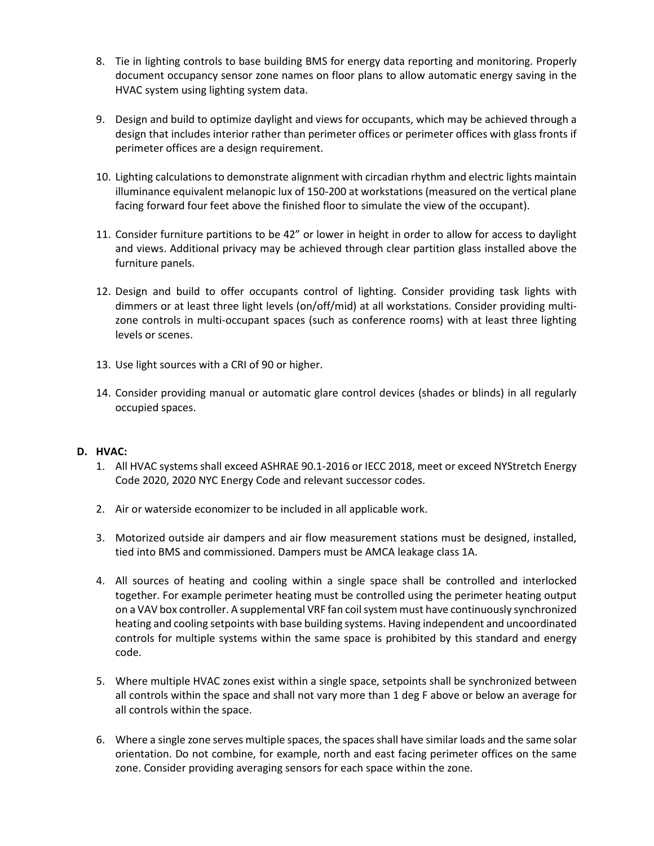- 8. Tie in lighting controls to base building BMS for energy data reporting and monitoring. Properly document occupancy sensor zone names on floor plans to allow automatic energy saving in the HVAC system using lighting system data.
- 9. Design and build to optimize daylight and views for occupants, which may be achieved through a design that includes interior rather than perimeter offices or perimeter offices with glass fronts if perimeter offices are a design requirement.
- 10. Lighting calculations to demonstrate alignment with circadian rhythm and electric lights maintain illuminance equivalent melanopic lux of 150-200 at workstations (measured on the vertical plane facing forward four feet above the finished floor to simulate the view of the occupant).
- 11. Consider furniture partitions to be 42" or lower in height in order to allow for access to daylight and views. Additional privacy may be achieved through clear partition glass installed above the furniture panels.
- 12. Design and build to offer occupants control of lighting. Consider providing task lights with dimmers or at least three light levels (on/off/mid) at all workstations. Consider providing multizone controls in multi-occupant spaces (such as conference rooms) with at least three lighting levels or scenes.
- 13. Use light sources with a CRI of 90 or higher.
- 14. Consider providing manual or automatic glare control devices (shades or blinds) in all regularly occupied spaces.

#### **D. HVAC:**

- 1. All HVAC systems shall exceed ASHRAE 90.1-2016 or IECC 2018, meet or exceed NYStretch Energy Code 2020, 2020 NYC Energy Code and relevant successor codes.
- 2. Air or waterside economizer to be included in all applicable work.
- 3. Motorized outside air dampers and air flow measurement stations must be designed, installed, tied into BMS and commissioned. Dampers must be AMCA leakage class 1A.
- 4. All sources of heating and cooling within a single space shall be controlled and interlocked together. For example perimeter heating must be controlled using the perimeter heating output on a VAV box controller. A supplemental VRF fan coil system must have continuously synchronized heating and cooling setpoints with base building systems. Having independent and uncoordinated controls for multiple systems within the same space is prohibited by this standard and energy code.
- 5. Where multiple HVAC zones exist within a single space, setpoints shall be synchronized between all controls within the space and shall not vary more than 1 deg F above or below an average for all controls within the space.
- 6. Where a single zone serves multiple spaces, the spaces shall have similar loads and the same solar orientation. Do not combine, for example, north and east facing perimeter offices on the same zone. Consider providing averaging sensors for each space within the zone.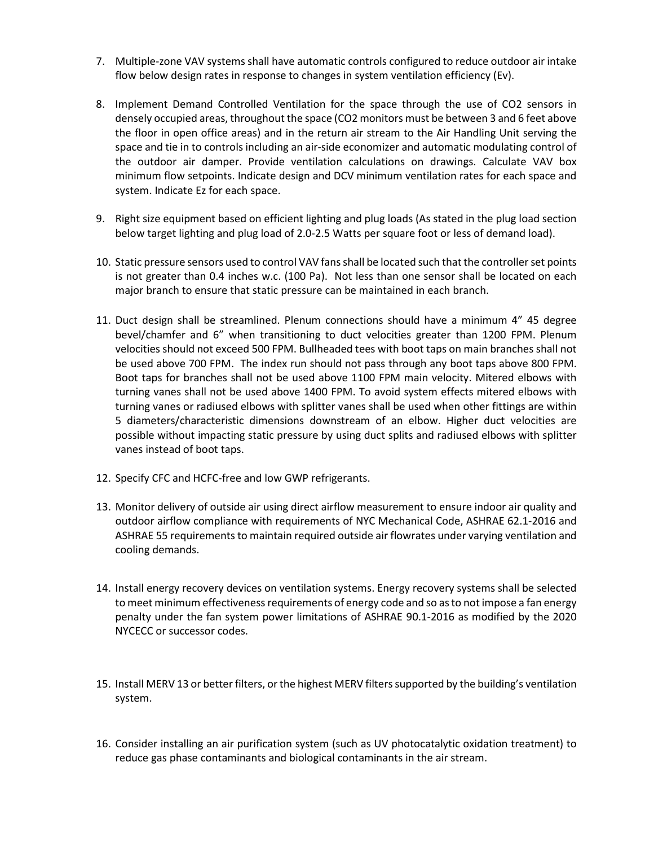- 7. Multiple-zone VAV systems shall have automatic controls configured to reduce outdoor air intake flow below design rates in response to changes in system ventilation efficiency (Ev).
- 8. Implement Demand Controlled Ventilation for the space through the use of CO2 sensors in densely occupied areas, throughout the space (CO2 monitors must be between 3 and 6 feet above the floor in open office areas) and in the return air stream to the Air Handling Unit serving the space and tie in to controls including an air-side economizer and automatic modulating control of the outdoor air damper. Provide ventilation calculations on drawings. Calculate VAV box minimum flow setpoints. Indicate design and DCV minimum ventilation rates for each space and system. Indicate Ez for each space.
- 9. Right size equipment based on efficient lighting and plug loads (As stated in the plug load section below target lighting and plug load of 2.0-2.5 Watts per square foot or less of demand load).
- 10. Static pressure sensors used to control VAV fans shall be located such that the controller set points is not greater than 0.4 inches w.c. (100 Pa). Not less than one sensor shall be located on each major branch to ensure that static pressure can be maintained in each branch.
- 11. Duct design shall be streamlined. Plenum connections should have a minimum 4" 45 degree bevel/chamfer and 6" when transitioning to duct velocities greater than 1200 FPM. Plenum velocities should not exceed 500 FPM. Bullheaded tees with boot taps on main branches shall not be used above 700 FPM. The index run should not pass through any boot taps above 800 FPM. Boot taps for branches shall not be used above 1100 FPM main velocity. Mitered elbows with turning vanes shall not be used above 1400 FPM. To avoid system effects mitered elbows with turning vanes or radiused elbows with splitter vanes shall be used when other fittings are within 5 diameters/characteristic dimensions downstream of an elbow. Higher duct velocities are possible without impacting static pressure by using duct splits and radiused elbows with splitter vanes instead of boot taps.
- 12. Specify CFC and HCFC-free and low GWP refrigerants.
- 13. Monitor delivery of outside air using direct airflow measurement to ensure indoor air quality and outdoor airflow compliance with requirements of NYC Mechanical Code, ASHRAE 62.1-2016 and ASHRAE 55 requirements to maintain required outside air flowrates under varying ventilation and cooling demands.
- 14. Install energy recovery devices on ventilation systems. Energy recovery systems shall be selected to meet minimum effectiveness requirements of energy code and so as to not impose a fan energy penalty under the fan system power limitations of ASHRAE 90.1-2016 as modified by the 2020 NYCECC or successor codes.
- 15. Install MERV 13 or better filters, or the highest MERV filters supported by the building's ventilation system.
- 16. Consider installing an air purification system (such as UV photocatalytic oxidation treatment) to reduce gas phase contaminants and biological contaminants in the air stream.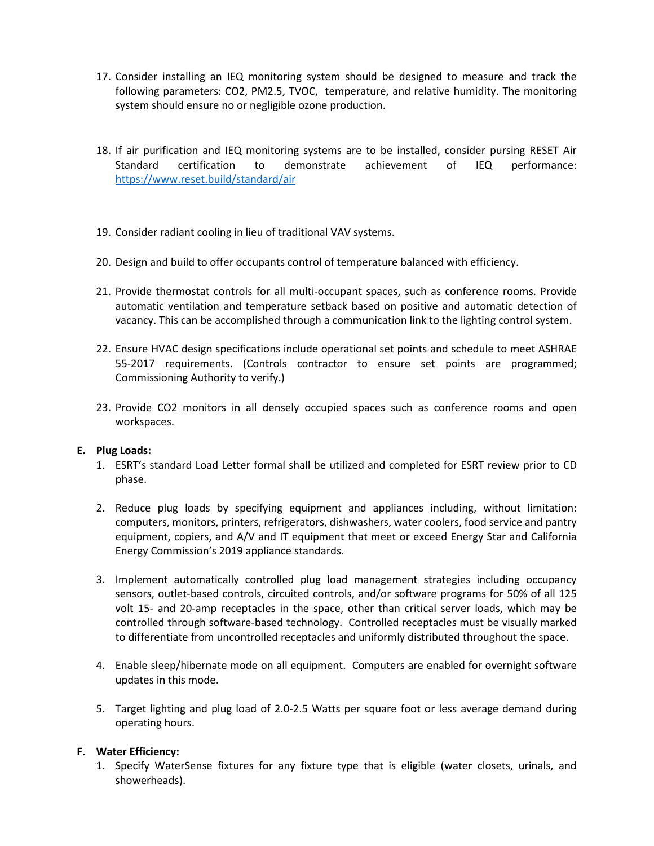- 17. Consider installing an IEQ monitoring system should be designed to measure and track the following parameters: CO2, PM2.5, TVOC, temperature, and relative humidity. The monitoring system should ensure no or negligible ozone production.
- 18. If air purification and IEQ monitoring systems are to be installed, consider pursing RESET Air Standard certification to demonstrate achievement of IEQ performance: <https://www.reset.build/standard/air>
- 19. Consider radiant cooling in lieu of traditional VAV systems.
- 20. Design and build to offer occupants control of temperature balanced with efficiency.
- 21. Provide thermostat controls for all multi-occupant spaces, such as conference rooms. Provide automatic ventilation and temperature setback based on positive and automatic detection of vacancy. This can be accomplished through a communication link to the lighting control system.
- 22. Ensure HVAC design specifications include operational set points and schedule to meet ASHRAE 55-2017 requirements. (Controls contractor to ensure set points are programmed; Commissioning Authority to verify.)
- 23. Provide CO2 monitors in all densely occupied spaces such as conference rooms and open workspaces.

#### **E. Plug Loads:**

- 1. ESRT's standard Load Letter formal shall be utilized and completed for ESRT review prior to CD phase.
- 2. Reduce plug loads by specifying equipment and appliances including, without limitation: computers, monitors, printers, refrigerators, dishwashers, water coolers, food service and pantry equipment, copiers, and A/V and IT equipment that meet or exceed Energy Star and California Energy Commission's 2019 appliance standards.
- 3. Implement automatically controlled plug load management strategies including occupancy sensors, outlet-based controls, circuited controls, and/or software programs for 50% of all 125 volt 15- and 20-amp receptacles in the space, other than critical server loads, which may be controlled through software-based technology. Controlled receptacles must be visually marked to differentiate from uncontrolled receptacles and uniformly distributed throughout the space.
- 4. Enable sleep/hibernate mode on all equipment. Computers are enabled for overnight software updates in this mode.
- 5. Target lighting and plug load of 2.0-2.5 Watts per square foot or less average demand during operating hours.

#### **F. Water Efficiency:**

1. Specify WaterSense fixtures for any fixture type that is eligible (water closets, urinals, and showerheads).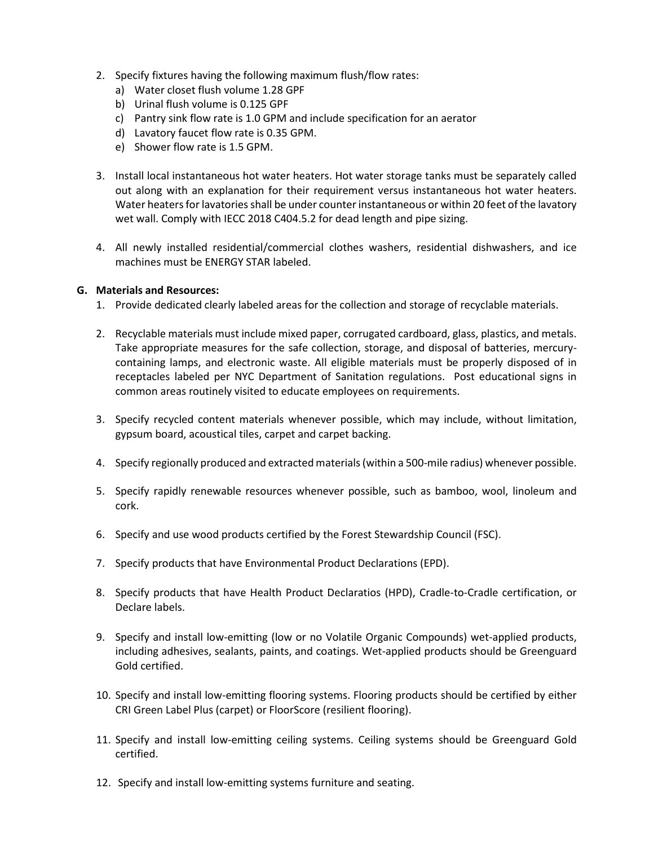- 2. Specify fixtures having the following maximum flush/flow rates:
	- a) Water closet flush volume 1.28 GPF
	- b) Urinal flush volume is 0.125 GPF
	- c) Pantry sink flow rate is 1.0 GPM and include specification for an aerator
	- d) Lavatory faucet flow rate is 0.35 GPM.
	- e) Shower flow rate is 1.5 GPM.
- 3. Install local instantaneous hot water heaters. Hot water storage tanks must be separately called out along with an explanation for their requirement versus instantaneous hot water heaters. Water heaters for lavatories shall be under counter instantaneous or within 20 feet of the lavatory wet wall. Comply with IECC 2018 C404.5.2 for dead length and pipe sizing.
- 4. All newly installed residential/commercial clothes washers, residential dishwashers, and ice machines must be ENERGY STAR labeled.

#### **G. Materials and Resources:**

- 1. Provide dedicated clearly labeled areas for the collection and storage of recyclable materials.
- 2. Recyclable materials must include mixed paper, corrugated cardboard, glass, plastics, and metals. Take appropriate measures for the safe collection, storage, and disposal of batteries, mercurycontaining lamps, and electronic waste. All eligible materials must be properly disposed of in receptacles labeled per NYC Department of Sanitation regulations. Post educational signs in common areas routinely visited to educate employees on requirements.
- 3. Specify recycled content materials whenever possible, which may include, without limitation, gypsum board, acoustical tiles, carpet and carpet backing.
- 4. Specify regionally produced and extracted materials (within a 500-mile radius) whenever possible.
- 5. Specify rapidly renewable resources whenever possible, such as bamboo, wool, linoleum and cork.
- 6. Specify and use wood products certified by the Forest Stewardship Council (FSC).
- 7. Specify products that have Environmental Product Declarations (EPD).
- 8. Specify products that have Health Product Declaratios (HPD), Cradle-to-Cradle certification, or Declare labels.
- 9. Specify and install low-emitting (low or no Volatile Organic Compounds) wet-applied products, including adhesives, sealants, paints, and coatings. Wet-applied products should be Greenguard Gold certified.
- 10. Specify and install low-emitting flooring systems. Flooring products should be certified by either CRI Green Label Plus (carpet) or FloorScore (resilient flooring).
- 11. Specify and install low-emitting ceiling systems. Ceiling systems should be Greenguard Gold certified.
- 12. Specify and install low-emitting systems furniture and seating.